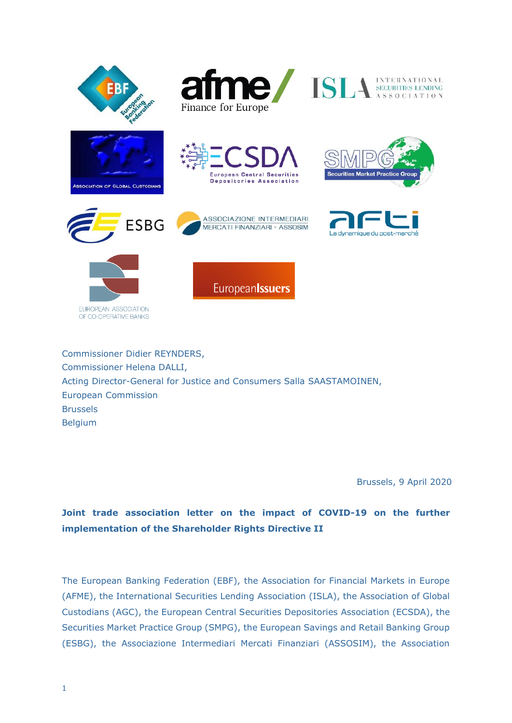



















EUROPEAN ASSOCIATION OF CO-OPERATIVE BANKS Europeanlssuers

Commissioner Didier REYNDERS, Commissioner Helena DALLI, Acting Director-General for Justice and Consumers Salla SAASTAMOINEN, European Commission Brussels Belgium

Brussels, 9 April 2020

# **Joint trade association letter on the impact of COVID-19 on the further implementation of the Shareholder Rights Directive II**

The European Banking Federation (EBF), the Association for Financial Markets in Europe (AFME), the International Securities Lending Association (ISLA), the Association of Global Custodians (AGC), the European Central Securities Depositories Association (ECSDA), the Securities Market Practice Group (SMPG), the European Savings and Retail Banking Group (ESBG), the Associazione Intermediari Mercati Finanziari (ASSOSIM), the Association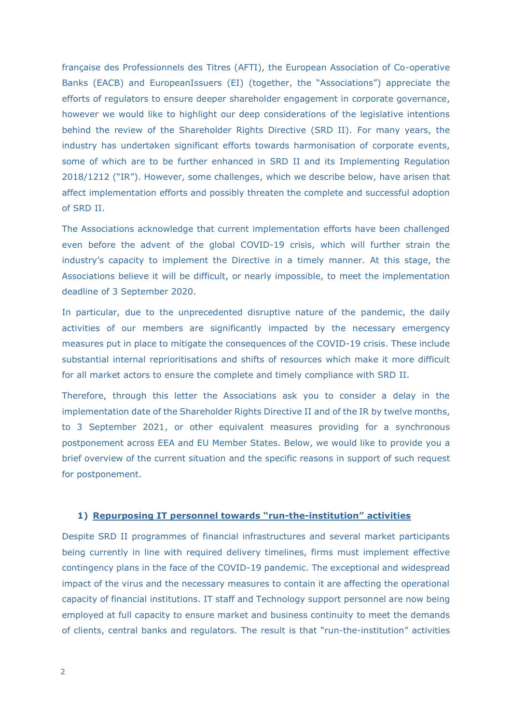française des Professionnels des Titres (AFTI), the European Association of Co-operative Banks (EACB) and EuropeanIssuers (EI) (together, the "Associations") appreciate the efforts of regulators to ensure deeper shareholder engagement in corporate governance, however we would like to highlight our deep considerations of the legislative intentions behind the review of the Shareholder Rights Directive (SRD II). For many years, the industry has undertaken significant efforts towards harmonisation of corporate events, some of which are to be further enhanced in SRD II and its Implementing Regulation 2018/1212 ("IR"). However, some challenges, which we describe below, have arisen that affect implementation efforts and possibly threaten the complete and successful adoption of SRD II.

The Associations acknowledge that current implementation efforts have been challenged even before the advent of the global COVID-19 crisis, which will further strain the industry's capacity to implement the Directive in a timely manner. At this stage, the Associations believe it will be difficult, or nearly impossible, to meet the implementation deadline of 3 September 2020.

In particular, due to the unprecedented disruptive nature of the pandemic, the daily activities of our members are significantly impacted by the necessary emergency measures put in place to mitigate the consequences of the COVID-19 crisis. These include substantial internal reprioritisations and shifts of resources which make it more difficult for all market actors to ensure the complete and timely compliance with SRD II.

Therefore, through this letter the Associations ask you to consider a delay in the implementation date of the Shareholder Rights Directive II and of the IR by twelve months, to 3 September 2021, or other equivalent measures providing for a synchronous postponement across EEA and EU Member States. Below, we would like to provide you a brief overview of the current situation and the specific reasons in support of such request for postponement.

#### **1) Repurposing IT personnel towards "run-the-institution" activities**

Despite SRD II programmes of financial infrastructures and several market participants being currently in line with required delivery timelines, firms must implement effective contingency plans in the face of the COVID-19 pandemic. The exceptional and widespread impact of the virus and the necessary measures to contain it are affecting the operational capacity of financial institutions. IT staff and Technology support personnel are now being employed at full capacity to ensure market and business continuity to meet the demands of clients, central banks and regulators. The result is that "run-the-institution" activities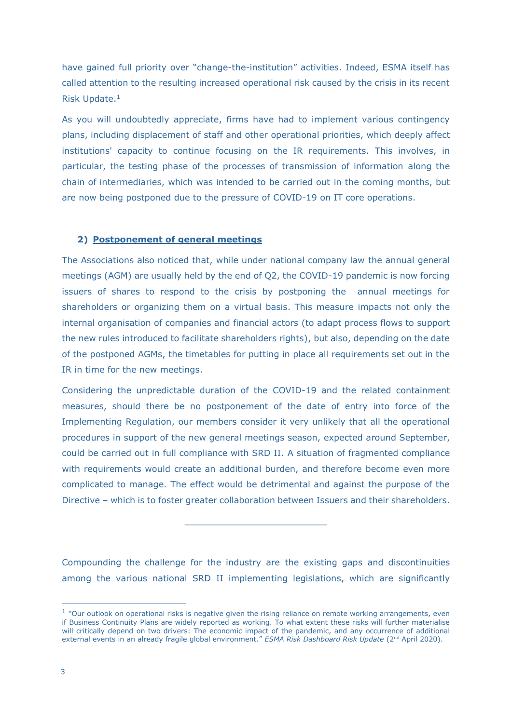have gained full priority over "change-the-institution" activities. Indeed, ESMA itself has called attention to the resulting increased operational risk caused by the crisis in its recent Risk Update.<sup>1</sup>

As you will undoubtedly appreciate, firms have had to implement various contingency plans, including displacement of staff and other operational priorities, which deeply affect institutions' capacity to continue focusing on the IR requirements. This involves, in particular, the testing phase of the processes of transmission of information along the chain of intermediaries, which was intended to be carried out in the coming months, but are now being postponed due to the pressure of COVID-19 on IT core operations.

# **2) Postponement of general meetings**

The Associations also noticed that, while under national company law the annual general meetings (AGM) are usually held by the end of Q2, the COVID-19 pandemic is now forcing issuers of shares to respond to the crisis by postponing the annual meetings for shareholders or organizing them on a virtual basis. This measure impacts not only the internal organisation of companies and financial actors (to adapt process flows to support the new rules introduced to facilitate shareholders rights), but also, depending on the date of the postponed AGMs, the timetables for putting in place all requirements set out in the IR in time for the new meetings.

Considering the unpredictable duration of the COVID-19 and the related containment measures, should there be no postponement of the date of entry into force of the Implementing Regulation, our members consider it very unlikely that all the operational procedures in support of the new general meetings season, expected around September, could be carried out in full compliance with SRD II. A situation of fragmented compliance with requirements would create an additional burden, and therefore become even more complicated to manage. The effect would be detrimental and against the purpose of the Directive – which is to foster greater collaboration between Issuers and their shareholders.

Compounding the challenge for the industry are the existing gaps and discontinuities among the various national SRD II implementing legislations, which are significantly

 $\mathcal{L}=\mathcal{L}=\mathcal{L}=\mathcal{L}=\mathcal{L}=\mathcal{L}=\mathcal{L}=\mathcal{L}=\mathcal{L}=\mathcal{L}=\mathcal{L}=\mathcal{L}=\mathcal{L}=\mathcal{L}=\mathcal{L}=\mathcal{L}=\mathcal{L}=\mathcal{L}=\mathcal{L}=\mathcal{L}=\mathcal{L}=\mathcal{L}=\mathcal{L}=\mathcal{L}=\mathcal{L}=\mathcal{L}=\mathcal{L}=\mathcal{L}=\mathcal{L}=\mathcal{L}=\mathcal{L}=\mathcal{L}=\mathcal{L}=\mathcal{L}=\mathcal{L}=\mathcal{L}=\mathcal{$ 

<sup>&</sup>lt;sup>1</sup> "Our outlook on operational risks is negative given the rising reliance on remote working arrangements, even if Business Continuity Plans are widely reported as working. To what extent these risks will further materialise will critically depend on two drivers: The economic impact of the pandemic, and any occurrence of additional external events in an already fragile global environment." *ESMA Risk Dashboard Risk Update* (2nd April 2020).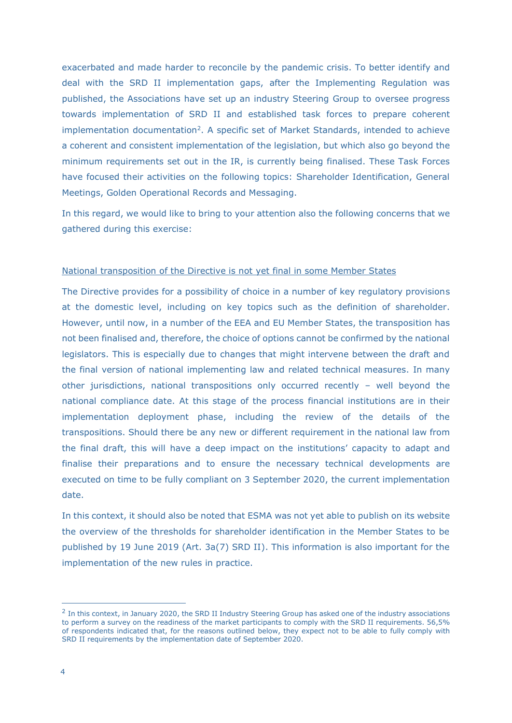exacerbated and made harder to reconcile by the pandemic crisis. To better identify and deal with the SRD II implementation gaps, after the Implementing Regulation was published, the Associations have set up an industry Steering Group to oversee progress towards implementation of SRD II and established task forces to prepare coherent implementation documentation<sup>2</sup>. A specific set of Market Standards, intended to achieve a coherent and consistent implementation of the legislation, but which also go beyond the minimum requirements set out in the IR, is currently being finalised. These Task Forces have focused their activities on the following topics: Shareholder Identification, General Meetings, Golden Operational Records and Messaging.

In this regard, we would like to bring to your attention also the following concerns that we gathered during this exercise:

# National transposition of the Directive is not yet final in some Member States

The Directive provides for a possibility of choice in a number of key regulatory provisions at the domestic level, including on key topics such as the definition of shareholder. However, until now, in a number of the EEA and EU Member States, the transposition has not been finalised and, therefore, the choice of options cannot be confirmed by the national legislators. This is especially due to changes that might intervene between the draft and the final version of national implementing law and related technical measures. In many other jurisdictions, national transpositions only occurred recently – well beyond the national compliance date. At this stage of the process financial institutions are in their implementation deployment phase, including the review of the details of the transpositions. Should there be any new or different requirement in the national law from the final draft, this will have a deep impact on the institutions' capacity to adapt and finalise their preparations and to ensure the necessary technical developments are executed on time to be fully compliant on 3 September 2020, the current implementation date.

In this context, it should also be noted that ESMA was not yet able to publish on its website the overview of the thresholds for shareholder identification in the Member States to be published by 19 June 2019 (Art. 3a(7) SRD II). This information is also important for the implementation of the new rules in practice.

 $<sup>2</sup>$  In this context, in January 2020, the SRD II Industry Steering Group has asked one of the industry associations</sup> to perform a survey on the readiness of the market participants to comply with the SRD II requirements. 56,5% of respondents indicated that, for the reasons outlined below, they expect not to be able to fully comply with SRD II requirements by the implementation date of September 2020.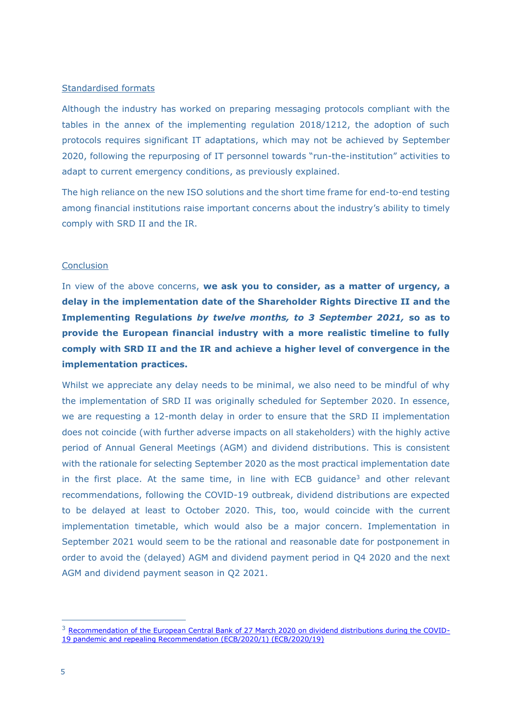### Standardised formats

Although the industry has worked on preparing messaging protocols compliant with the tables in the annex of the implementing regulation 2018/1212, the adoption of such protocols requires significant IT adaptations, which may not be achieved by September 2020, following the repurposing of IT personnel towards "run-the-institution" activities to adapt to current emergency conditions, as previously explained.

The high reliance on the new ISO solutions and the short time frame for end-to-end testing among financial institutions raise important concerns about the industry's ability to timely comply with SRD II and the IR.

#### **Conclusion**

In view of the above concerns, **we ask you to consider, as a matter of urgency, a delay in the implementation date of the Shareholder Rights Directive II and the Implementing Regulations** *by twelve months, to 3 September 2021,* **so as to provide the European financial industry with a more realistic timeline to fully comply with SRD II and the IR and achieve a higher level of convergence in the implementation practices.**

Whilst we appreciate any delay needs to be minimal, we also need to be mindful of why the implementation of SRD II was originally scheduled for September 2020. In essence, we are requesting a 12-month delay in order to ensure that the SRD II implementation does not coincide (with further adverse impacts on all stakeholders) with the highly active period of Annual General Meetings (AGM) and dividend distributions. This is consistent with the rationale for selecting September 2020 as the most practical implementation date in the first place. At the same time, in line with ECB quidance<sup>3</sup> and other relevant recommendations, following the COVID-19 outbreak, dividend distributions are expected to be delayed at least to October 2020. This, too, would coincide with the current implementation timetable, which would also be a major concern. Implementation in September 2021 would seem to be the rational and reasonable date for postponement in order to avoid the (delayed) AGM and dividend payment period in Q4 2020 and the next AGM and dividend payment season in Q2 2021.

<sup>&</sup>lt;sup>3</sup> [Recommendation of the European Central Bank of 27 March 2020 on dividend distributions during the COVID-](https://www.ecb.europa.eu/ecb/legal/pdf/ecb_2020_19_f_sign.pdf)[19 pandemic and repealing Recommendation \(ECB/2020/1\) \(ECB/2020/19\)](https://www.ecb.europa.eu/ecb/legal/pdf/ecb_2020_19_f_sign.pdf)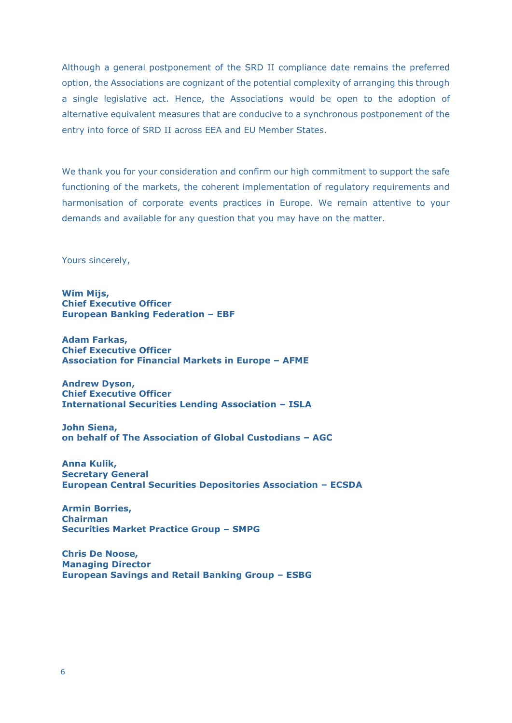Although a general postponement of the SRD II compliance date remains the preferred option, the Associations are cognizant of the potential complexity of arranging this through a single legislative act. Hence, the Associations would be open to the adoption of alternative equivalent measures that are conducive to a synchronous postponement of the entry into force of SRD II across EEA and EU Member States.

We thank you for your consideration and confirm our high commitment to support the safe functioning of the markets, the coherent implementation of regulatory requirements and harmonisation of corporate events practices in Europe. We remain attentive to your demands and available for any question that you may have on the matter.

Yours sincerely,

**Wim Mijs, Chief Executive Officer European Banking Federation – EBF**

**Adam Farkas, Chief Executive Officer Association for Financial Markets in Europe – AFME**

**Andrew Dyson, Chief Executive Officer International Securities Lending Association – ISLA**

**John Siena, on behalf of The Association of Global Custodians – AGC**

**Anna Kulik, Secretary General European Central Securities Depositories Association – ECSDA**

**Armin Borries, Chairman Securities Market Practice Group – SMPG**

**Chris De Noose, Managing Director European Savings and Retail Banking Group – ESBG**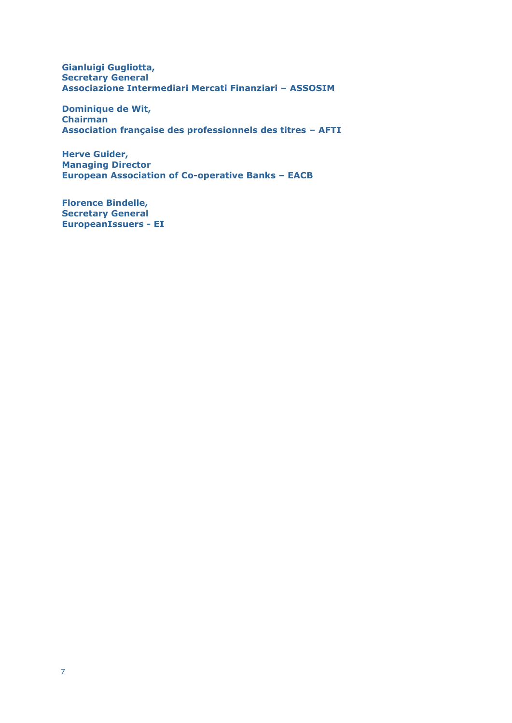**Gianluigi Gugliotta, Secretary General Associazione Intermediari Mercati Finanziari – ASSOSIM**

**Dominique de Wit, Chairman Association française des professionnels des titres – AFTI**

**Herve Guider, Managing Director European Association of Co-operative Banks – EACB**

**Florence Bindelle, Secretary General EuropeanIssuers - EI**